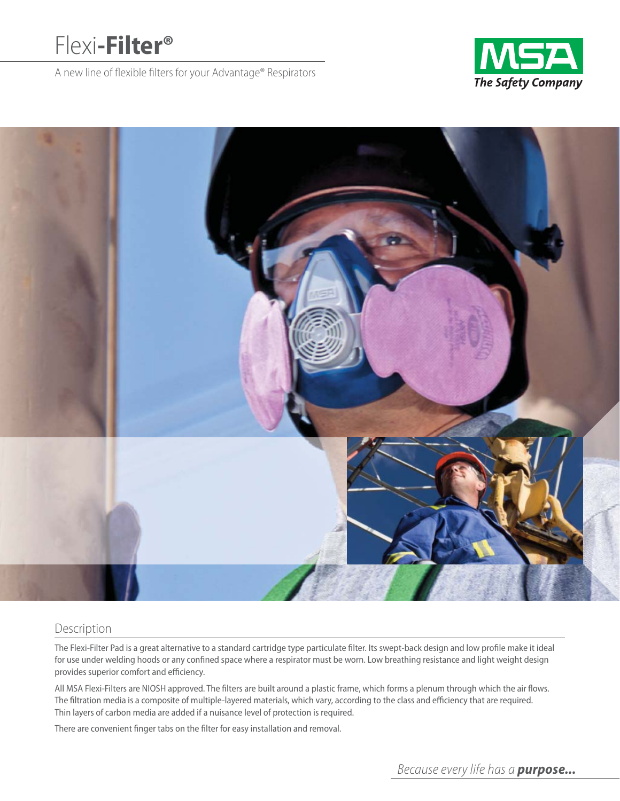# Flexi**-Filter®**

A new line of flexible filters for your Advantage® Respirators





## Description

The Flexi-Filter Pad is a great alternative to a standard cartridge type particulate filter. Its swept-back design and low profile make it ideal for use under welding hoods or any confined space where a respirator must be worn. Low breathing resistance and light weight design provides superior comfort and efficiency.

All MSA Flexi-Filters are NIOSH approved. The filters are built around a plastic frame, which forms a plenum through which the air flows. The filtration media is a composite of multiple-layered materials, which vary, according to the class and efficiency that are required. Thin layers of carbon media are added if a nuisance level of protection is required.

There are convenient finger tabs on the filter for easy installation and removal.